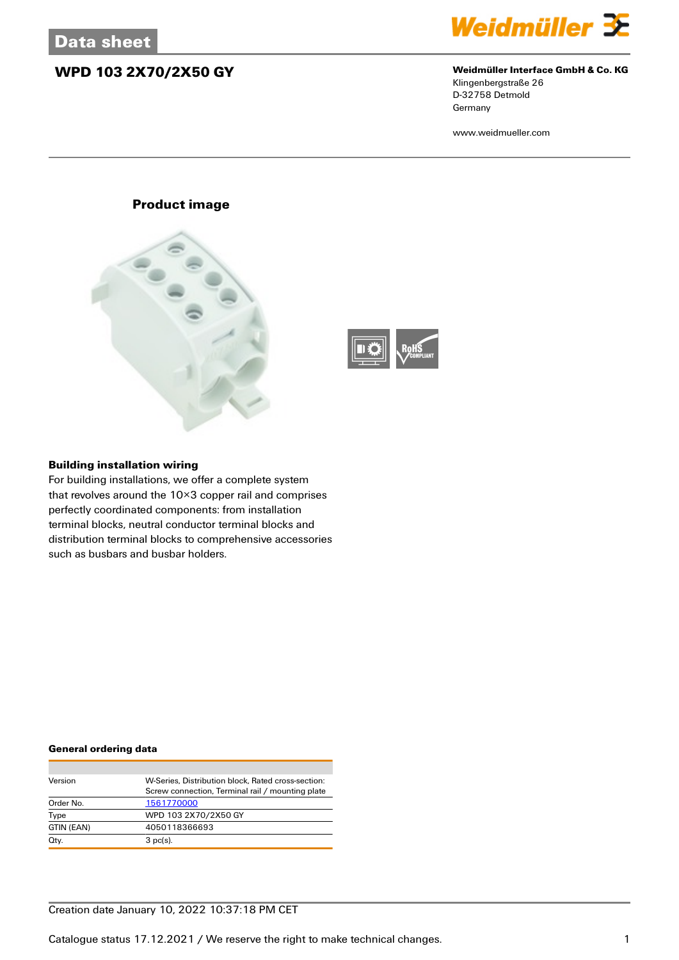## **WPD 103 2X70/2X50 GY Weidmüller Interface GmbH & Co. KG**



Klingenbergstraße 26 D-32758 Detmold **Germany** 

www.weidmueller.com

## **Product image**





### **Building installation wiring**

For building installations, we offer a complete system that revolves around the 10×3 copper rail and comprises perfectly coordinated components: from installation terminal blocks, neutral conductor terminal blocks and distribution terminal blocks to comprehensive accessories such as busbars and busbar holders.

### **General ordering data**

| Version    | W-Series, Distribution block, Rated cross-section: |
|------------|----------------------------------------------------|
|            | Screw connection, Terminal rail / mounting plate   |
| Order No.  | 1561770000                                         |
| Type       | WPD 103 2X70/2X50 GY                               |
| GTIN (EAN) | 4050118366693                                      |
| Qty.       | $3$ pc(s).                                         |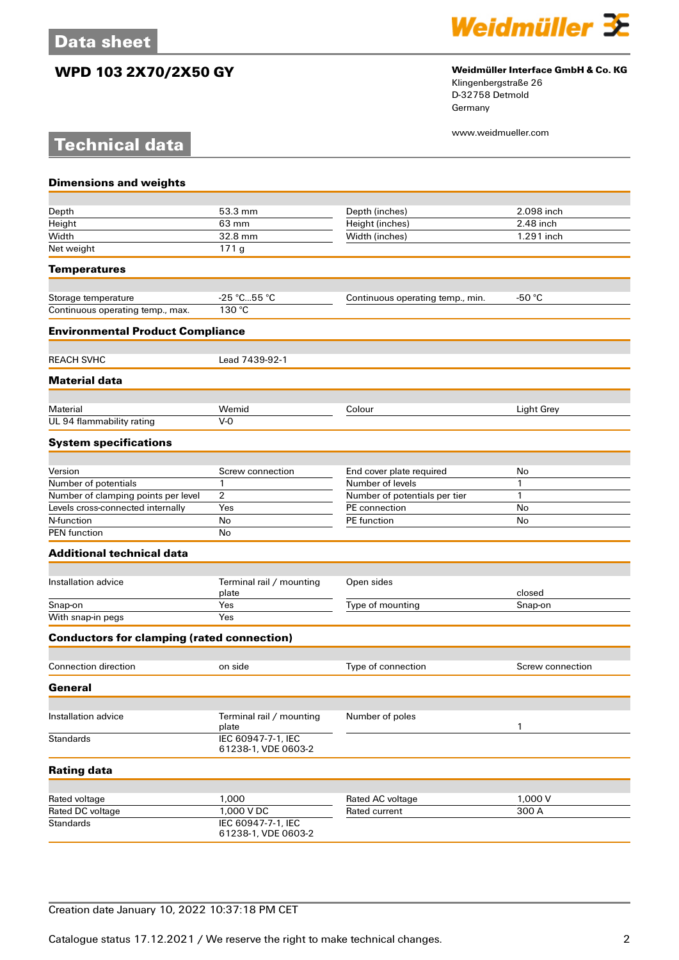**Technical data**

## **WPD 103 2X70/2X50 GY Weidmüller Interface GmbH & Co. KG**



Klingenbergstraße 26 D-32758 Detmold Germany

www.weidmueller.com

| <b>Dimensions and weights</b>                     |                                           |                                   |                  |
|---------------------------------------------------|-------------------------------------------|-----------------------------------|------------------|
|                                                   |                                           |                                   |                  |
| Depth                                             | 53.3 mm                                   | Depth (inches)                    | 2.098 inch       |
| Height                                            | 63 mm                                     | Height (inches)                   | 2.48 inch        |
| Width                                             | 32.8 mm                                   | Width (inches)                    | 1.291 inch       |
| Net weight                                        | 171g                                      |                                   |                  |
| <b>Temperatures</b>                               |                                           |                                   |                  |
| Storage temperature                               | -25 °C55 °C                               | Continuous operating temp., min.  | -50 $°C$         |
| Continuous operating temp., max.                  | 130 °C                                    |                                   |                  |
| <b>Environmental Product Compliance</b>           |                                           |                                   |                  |
| <b>REACH SVHC</b>                                 | Lead 7439-92-1                            |                                   |                  |
| <b>Material data</b>                              |                                           |                                   |                  |
|                                                   |                                           |                                   |                  |
| Material<br>UL 94 flammability rating             | Wemid<br>$V - Q$                          | Colour                            | Light Grey       |
| <b>System specifications</b>                      |                                           |                                   |                  |
|                                                   |                                           |                                   |                  |
| Version                                           | Screw connection                          | End cover plate required          | No               |
| Number of potentials                              | 1                                         | Number of levels                  | 1                |
| Number of clamping points per level               | 2                                         | Number of potentials per tier     | 1                |
| Levels cross-connected internally                 | Yes                                       | PE connection                     | No               |
| N-function                                        | No                                        | PE function                       | No               |
| <b>PEN</b> function                               | No                                        |                                   |                  |
| <b>Additional technical data</b>                  |                                           |                                   |                  |
| Installation advice                               | Terminal rail / mounting                  | Open sides                        |                  |
|                                                   | plate                                     |                                   | closed           |
| Snap-on                                           | Yes                                       | Type of mounting                  | Snap-on          |
| With snap-in pegs                                 | Yes                                       |                                   |                  |
| <b>Conductors for clamping (rated connection)</b> |                                           |                                   |                  |
| Connection direction                              | on side                                   | Type of connection                | Screw connection |
| General                                           |                                           |                                   |                  |
|                                                   |                                           |                                   |                  |
| Installation advice                               | Terminal rail / mounting<br>plate         | Number of poles                   | 1                |
| <b>Standards</b>                                  | IEC 60947-7-1, IEC<br>61238-1, VDE 0603-2 |                                   |                  |
| <b>Rating data</b>                                |                                           |                                   |                  |
|                                                   |                                           |                                   |                  |
| Rated voltage<br>Rated DC voltage                 | 1,000<br>1,000 V DC                       | Rated AC voltage<br>Rated current | 1,000 V<br>300 A |
| <b>Standards</b>                                  | IEC 60947-7-1, IEC                        |                                   |                  |
|                                                   | 61238-1, VDE 0603-2                       |                                   |                  |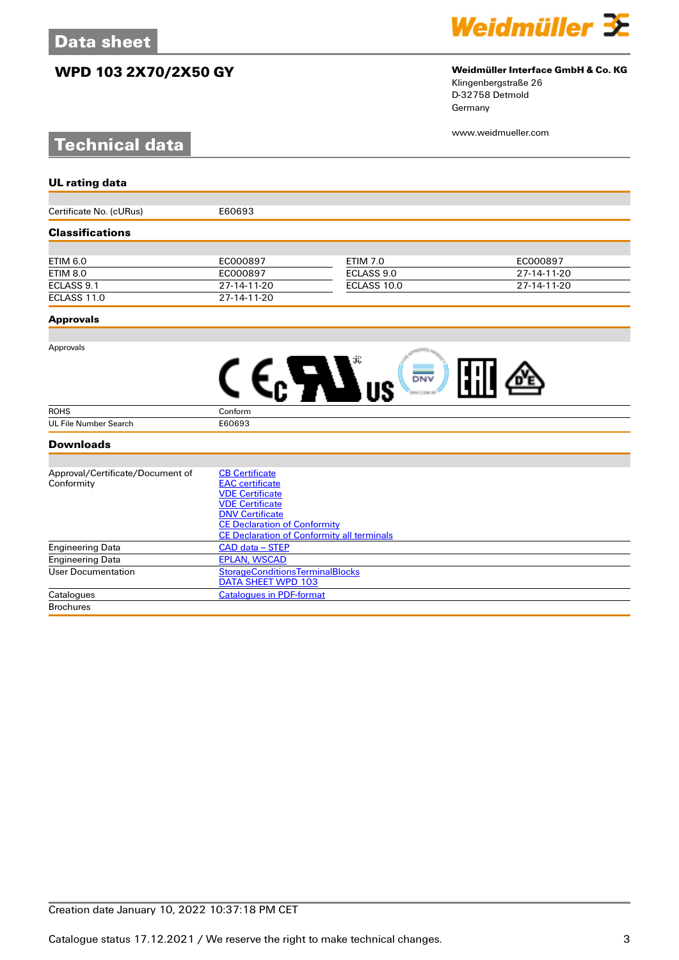## **WPD 103 2X70/2X50 GY Weidmüller Interface GmbH & Co. KG**

# **Technical data**



Klingenbergstraße 26 D-32758 Detmold Germany

www.weidmueller.com

| <b>UL rating data</b>            |                                                   |                 |             |
|----------------------------------|---------------------------------------------------|-----------------|-------------|
|                                  |                                                   |                 |             |
| Certificate No. (cURus)          | E60693                                            |                 |             |
| <b>Classifications</b>           |                                                   |                 |             |
|                                  |                                                   |                 |             |
| <b>ETIM 6.0</b>                  | EC000897                                          | <b>ETIM 7.0</b> | EC000897    |
| <b>ETIM 8.0</b>                  | EC000897                                          | ECLASS 9.0      | 27-14-11-20 |
| ECLASS 9.1                       | 27-14-11-20                                       | ECLASS 10.0     | 27-14-11-20 |
| ECLASS 11.0                      | 27-14-11-20                                       |                 |             |
| <b>Approvals</b>                 |                                                   |                 |             |
|                                  |                                                   |                 |             |
| Approvals                        |                                                   |                 |             |
|                                  |                                                   | DNV             |             |
| <b>ROHS</b>                      | Conform                                           |                 |             |
| <b>UL File Number Search</b>     | E60693                                            |                 |             |
| <b>Downloads</b>                 |                                                   |                 |             |
|                                  |                                                   |                 |             |
| Approval/Certificate/Document of | <b>CB Certificate</b>                             |                 |             |
| Conformity                       | <b>EAC</b> certificate                            |                 |             |
|                                  | <b>VDE Certificate</b><br><b>VDE Certificate</b>  |                 |             |
|                                  | <b>DNV Certificate</b>                            |                 |             |
|                                  | <b>CE Declaration of Conformity</b>               |                 |             |
|                                  | <b>CE Declaration of Conformity all terminals</b> |                 |             |
| <b>Engineering Data</b>          | CAD data - STEP                                   |                 |             |
| <b>Engineering Data</b>          | <b>EPLAN, WSCAD</b>                               |                 |             |
| <b>User Documentation</b>        | <b>StorageConditionsTerminalBlocks</b>            |                 |             |
|                                  | DATA SHEET WPD 103                                |                 |             |

Catalogues [Catalogues in PDF-format](http://catalog.weidmueller.com/assets/LINK/Catalog.html) **Brochures**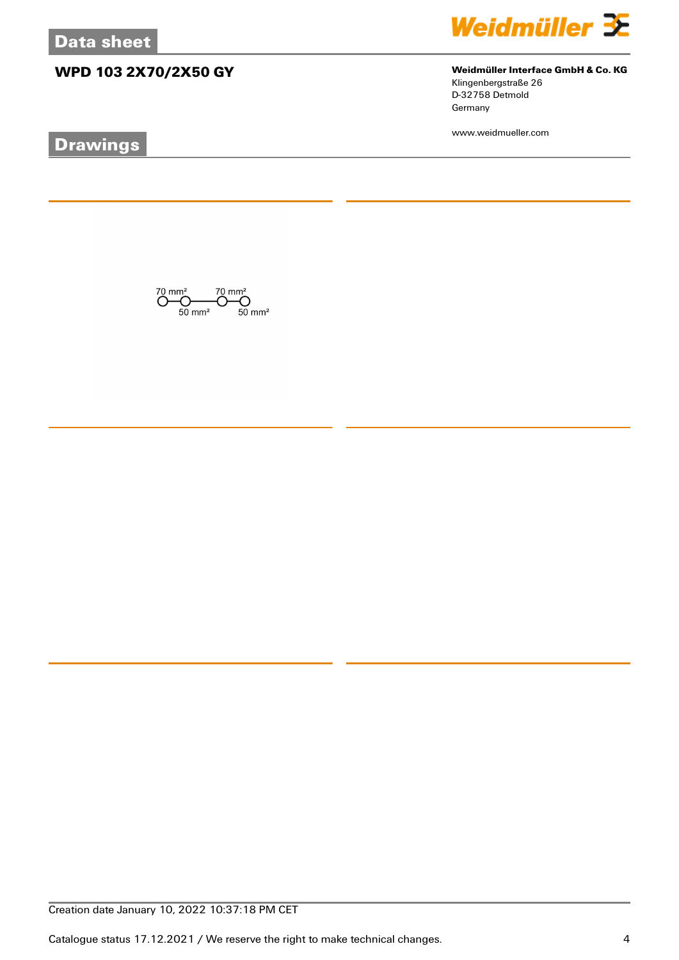## **WPD 103 2X70/2X50 GY Weidmüller Interface GmbH & Co. KG**

# **Drawings**



Klingenbergstraße 26 D-32758 Detmold Germany

www.weidmueller.com

 $\overline{\text{O}}_{50 \text{ mm}^2}^{\text{70 mm}^2} \overline{\text{O}}_{50 \text{ mm}^2}^{\text{70 mm}^2} \overline{\text{O}}_{50 \text{ mm}^2}^{\text{70 mm}^2}$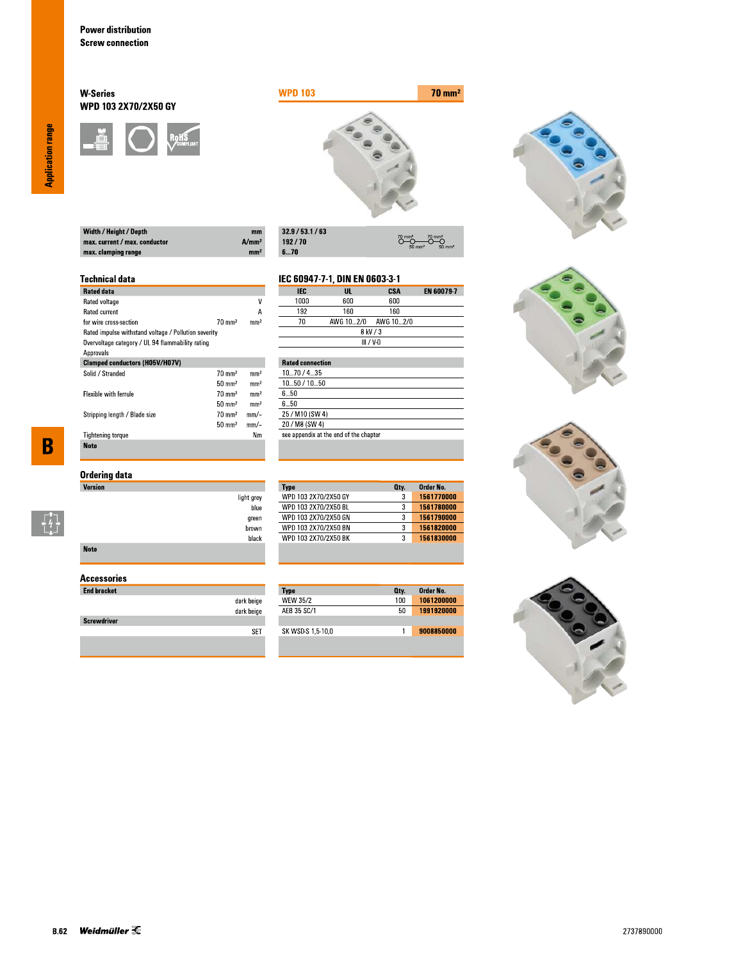## **W-Series** WPD 103 2X70/2X50 GY





 $\overline{\overset{70}{\bigcirc}}$ 

**CSA**<br>600

 $O \rightarrow O$ 

EN 60079-7

| Width / Height / Depth        | mm                |
|-------------------------------|-------------------|
| max. current / max. conductor | A/mm <sup>2</sup> |
| max. clamping range           | mm <sup>2</sup>   |

| 32.9/53.1/63 |
|--------------|
| 192/70       |
| 670          |

IEC

 $1000$ 

light grey blue

green  $brown$ black IEC 60947-7-1, DIN EN 0603-3-1

 $\frac{UL}{600}$ 

## **Technical data**

| <b>Rated data</b>                                    |                   |                 |
|------------------------------------------------------|-------------------|-----------------|
| Rated voltage                                        |                   | ٧               |
| <b>Rated current</b>                                 |                   | А               |
| for wire cross-section                               | $70 \text{ mm}^2$ | mm <sup>2</sup> |
| Rated impulse withstand voltage / Pollution severity |                   |                 |
| Overvoltage category / UL 94 flammability rating     |                   |                 |
| Approvals                                            |                   |                 |
| <b>Clamped conductors (H05V/H07V)</b>                |                   |                 |
| Solid / Stranded                                     | $70 \text{ mm}^2$ | mm <sup>2</sup> |
|                                                      | $50 \text{ mm}^2$ | mm <sup>2</sup> |
| <b>Flexible with ferrule</b>                         | $70 \text{ mm}^2$ | mm <sup>2</sup> |
|                                                      | $50 \text{ mm}^2$ | mm <sup>2</sup> |
| Stripping length / Blade size                        | $70 \text{ mm}^2$ | mm/-            |
|                                                      | $50 \text{ mm}^2$ | mm/-            |
| <b>Tightening torque</b>                             |                   | Nm              |
| <b>Note</b>                                          |                   |                 |

 $\overline{\mathbf{B}}$ 

 $\begin{bmatrix} 1 \\ 1 \\ 1 \end{bmatrix}$ 

| Ordering data |  |
|---------------|--|
| Version       |  |

| <b>Note</b> |  |  |  |
|-------------|--|--|--|

## **Accessories**

| <b>End bracket</b> |            |
|--------------------|------------|
|                    | dark beige |
|                    | dark beige |
| <b>Screwdriver</b> |            |
|                    |            |
|                    |            |

| 192                     | 160       | 160         |  |
|-------------------------|-----------|-------------|--|
| 70                      | AWG 102/0 | AWG 10…2/0  |  |
|                         |           | 8 kV / 3    |  |
|                         |           | $III / V-0$ |  |
|                         |           |             |  |
| <b>Rated connection</b> |           |             |  |
|                         |           |             |  |

| 1070/435                               |
|----------------------------------------|
| 1050 / 1050                            |
| 650                                    |
| 6 5Ո                                   |
| 25 / M10 (SW 4)                        |
| 20 / M8 (SW 4)                         |
| see appendix at the end of the chapter |
|                                        |

| 3<br>3 | 1561770000 |
|--------|------------|
|        |            |
|        | 1561780000 |
| 3      | 1561790000 |
| 3      | 1561820000 |
| 3      | 1561830000 |
|        |            |

| <b>Type</b>       | Oty. | Order No.  |
|-------------------|------|------------|
| <b>WEW 35/2</b>   | 100  | 1061200000 |
| AFB 35 SC/1       | 50   | 1991920000 |
|                   |      |            |
| SK WSD-S 1,5-10,0 |      | 9008850000 |